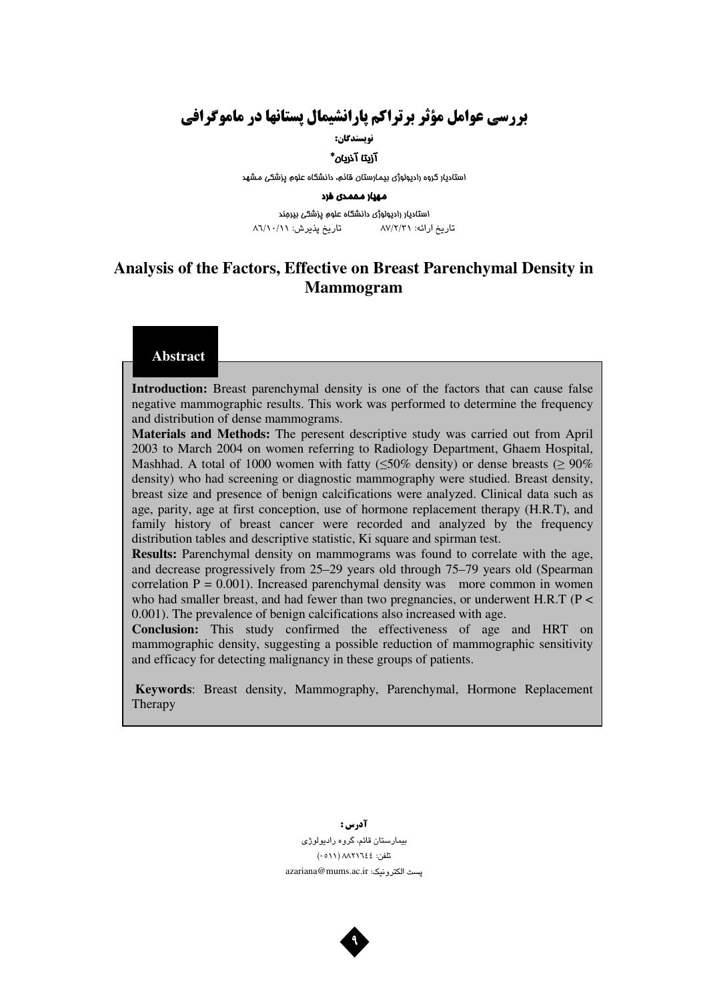# بررسی عوامل مؤثر برتراکم پارانشیمال پستانها در ماموگرافی

نويسندگان:

#### آزین*ا* آذریان\*

استادیار گروه رادیولوژی بیمارستان قائم، دانشگاه علوم پزشکی مشهد

#### مهيار مممدى فرد

استادیار رادیولوژی دانشگاه علوم پزشکی بیرمند تاريخ ارائه: ۸۷/۲/۳۱ تاريخ پذيرش: ۸٦/١٠/١١

# Analysis of the Factors, Effective on Breast Parenchymal Density in Mammogram

#### Abstract

Introduction: Breast parenchymal density is one of the factors that can cause false negative mammographic results. This work was performed to determine the frequency and distribution of dense mammograms.

L L L L L L L L L L

Materials and Methods: The peresent descriptive study was carried out from April 2003 to March 2004 on women referring to Radiology Department, Ghaem Hospital, Mashhad. A total of 1000 women with fatty ( $\leq$ 50% density) or dense breasts ( $\geq$  90% density) who had screening or diagnostic mammography were studied. Breast density, breast size and presence of benign calcifications were analyzed. Clinical data such as age, parity, age at first conception, use of hormone replacement therapy (H.R.T), and family history of breast cancer were recorded and analyzed by the frequency distribution tables and descriptive statistic, Ki square and spirman test.

Results: Parenchymal density on mammograms was found to correlate with the age, and decrease progressively from 25–29 years old through 75–79 years old (Spearman correlation  $P = 0.001$ ). Increased parenchymal density was more common in women who had smaller breast, and had fewer than two pregnancies, or underwent H.R.T ( $P \lt$ 0.001). The prevalence of benign calcifications also increased with age.

Conclusion: This study confirmed the effectiveness of age and HRT on mammographic density, suggesting a possible reduction of mammographic sensitivity and efficacy for detecting malignancy in these groups of patients.

Keywords: Breast density, Mammography, Parenchymal, Hormone Replacement Therapy

> **آدرس :** بیمارستان قائم، گروه رادیولوژی تلفن: ١٤٤٦٦٦٤٤ (٥١١ (٥١١ azariana@mums.ac.ir پست الكترونيک: a

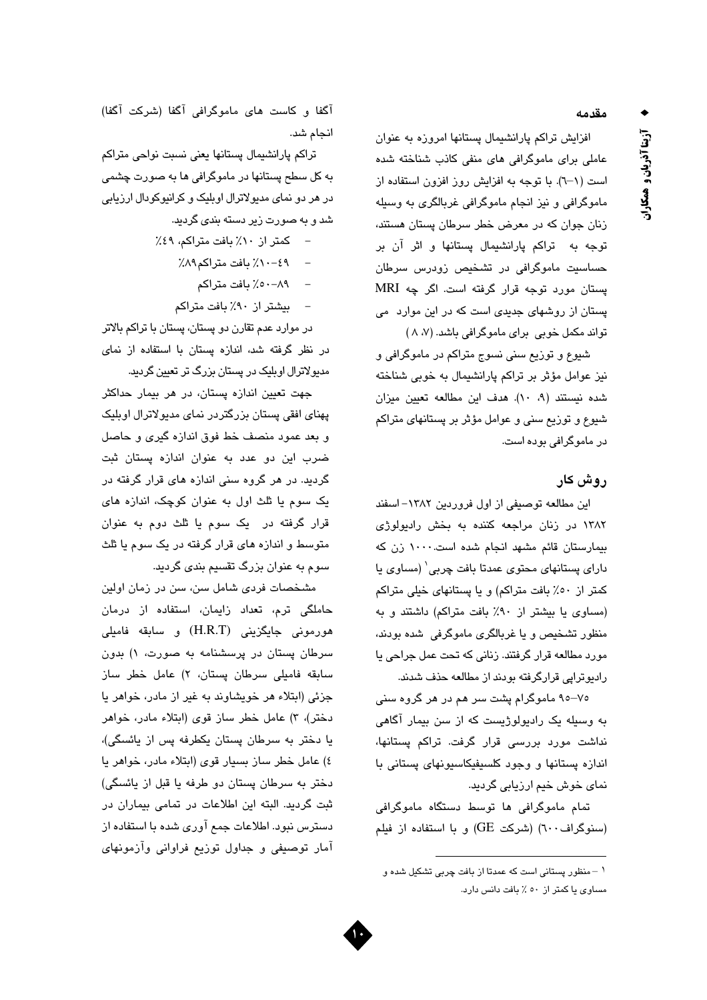آزینا آذریان و همکاران

مقدمه

افزایش تراکم پارانشیمال پستانها امروزه به عنوان عاملی برای ماموگرافی های منفی کاذب شناخته شده است (۱–٦). با توجه به افزایش روز افزون استفاده از ماموگرافی و نیز انجام ماموگرافی غربالگری به وسیله زنان جوان که در معرض خطر سرطان پستان هستند، توجه به تراکم پارانشیمال پستانها و اثر آن بر حساسیت ماموگرافی در تشخیص زودرس سرطان يستان مورد توجه قرار گرفته است. اگر چه MRI پستان از روشهای جدیدی است که در این موارد می تواند مکمل خوبی برای ماموگرافی باشد. (۸، ۸)

شیوع و توزیع سنی نسوج متراکم در ماموگرافی و نیز عوامل مؤثر بر تراکم پارانشیمال به خوبی شناخته شده نيستند (۹، ۱۰). هدف اين مطالعه تعيين ميزان شیوع و توزیع سنی و عوامل مؤثر بر پستانهای متراکم در ماموگرافی بوده است.

# روش کار

این مطالعه توصیفی از اول فروردین ۱۳۸۲– اسفند ١٣٨٢ در زنان مراجعه كننده به بخش راديولوژى بیمارستان قائم مشهد انجام شده است.۱۰۰۰ زن که دارای پستانهای محتوی عمدتا بافت چربی` (مساوی یا کمتر از ٥٠٪ بافت متراکم) و یا پستانهای خیلی متراکم (مساوی یا بیشتر از ۹۰٪ بافت متراکم) داشتند و به منظور تشخیص و یا غربالگری ماموگرفی شده بودند، مورد مطالعه قرار گرفتند. زنانی که تحت عمل جراحی یا رادیوتراپی قرارگرفته بودند از مطالعه حذف شدند.

۷۵–۹۵ ماموگرام پشت سر هم در هر گروه سنی به وسیله یک رادیولوژیست که از سن بیمار آگاهی نداشت مورد بررسی قرار گرفت. تراکم پستانها، اندازه پستانها و وجود کلسیفیکاسیونهای پستانی با نمای خوش خیم ارزیابی گردید.

تمام ماموگرافی ها توسط دستگاه ماموگرافی (سنوگراف ٦٠٠) (شركت GE) و با استفاده از فيلم

آگفا و كاست هاى ماموگرافى آگفا (شركت آگفا) انجام شد.

تراكم يارانشيمال يستانها يعنى نسبت نواحى متراكم به کل سطح پستانها در ماموگرافی ها به صورت چشمی در هر دو نمای مدیولاترال اوبلیک و کرانیوکودال ارزیابی شد و به صورت زیر دسته بندی گردید.

> - كمتر از ١٠٪ بافت متراكم، ٤٩٪ – "۰-۰۱٪ بافت متراكم۸۹٪ – بیشتر از ۹۰٪ بافت متراکم

در موارد عدم تقارن دو پستان، پستان با تراکم بالاتر در نظر گرفته شد، اندازه پستان با استفاده از نمای مدیولاترال اوبلیک در پستان بزرگ تر تعیین گردید.

جهت تعیین اندازه پستان، در هر بیمار حداکثر یهنای افقی پستان بزرگتردر نمای مدیولاترال اوبلیک و بعد عمود منصف خط فوق اندازه گیری و حاصل ضرب این دو عدد به عنوان اندازه پستان ثبت گردید. در هر گروه سنی اندازه های قرار گرفته در یک سوم یا ثلث اول به عنوان کوچک، اندازه های قرار گرفته در یک سوم یا ثلث دوم به عنوان متوسط و اندازه های قرار گرفته در یک سوم یا ثلث سوم به عنوان بزرگ تقسیم بندی گردید.

مشخصات فردی شامل سن، سن در زمان اولین حاملگی ترم، تعداد زایمان، استفاده از درمان هورمونی جایگزینی (H.R.T) و سابقه فامیلی سرطان پستان در پرسشنامه به صورت، ۱) بدون سابقه فاميلي سرطان پستان، ٢) عامل خطر ساز جزئي (ابتلاء هر خويشاوند به غير از مادر، خواهر يا دختر)، ٣) عامل خطر ساز قوى (ابتلاء مادر، خواهر یا دختر به سرطان پستان یکطرفه پس از یائسگی)، ٤) عامل خطر ساز بسيار قوى (ابتلاء مادر، خواهر يا دختر به سرطان پستان دو طرفه یا قبل از پائسگی) ثبت گردید. البته این اطلاعات در تمامی بیماران در دسترس نبود. اطلاعات جمع آوری شده با استفاده از آمار توصیفی و جداول توزیع فراوانی وآزمونهای



۱ – منظور پستانی است که عمدتا از بافت چربی تشکیل شده و مساوی یا کمتر از ٥٠ ٪ بافت دانس دارد.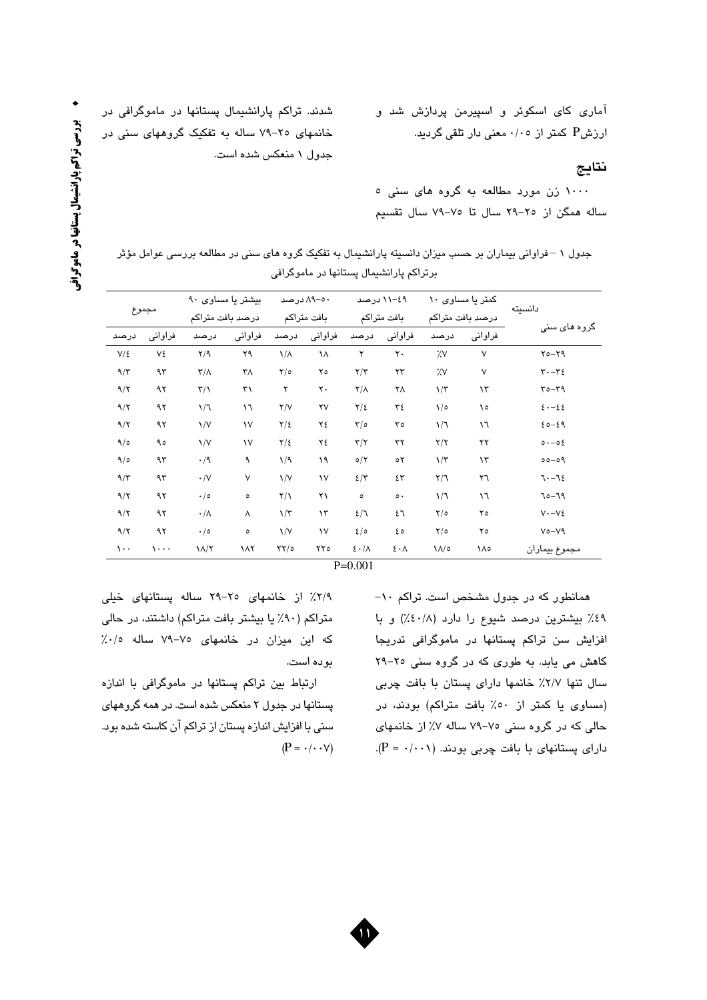♦سي تراكم يارانشيمال پستانها ৸ وگرافی ور<br>ول

شدند. تراکم پارانشیمال پستانها در ماموگرافی در خانمهای ۲۵-۷۹ ساله به تفکیک گروههای سنی در جدول ۱ منعکس شده است.

آماری کای اسکوئر و اسپیرمن پردازش شد و  $P$ ارزش $P$  کمتر از ۰/۰۰ معنی دار تلقی گردید.

نتايج

۱۰۰۰ زن مورد مطالعه به گروه های سنی ه ساله همگن از ٢٥–٢٩ سال تا ٧٥–٧٩ سال تقسيم

جدول ۱ – فراوانی بیماران بر حسب میزان دانسیته پارانشیمال به تفکیک گروه های سنی در مطالعه بررسی عوامل مؤثر برتراکم پارانشیمال پستانها در ماموگرافی

| مجموع    |          | بیشتر یا مساوی ۹۰<br>درصد بافت متراكم |           | ۵۰–۸۹ درصد<br>بافت متراكم |                        | ۱۹-۱۱ درصد<br>بافت متراكم  |                          | کمتر یا مساوی ۱۰<br>درصد بافت متراكم |                | دانسيته               |  |
|----------|----------|---------------------------------------|-----------|---------------------------|------------------------|----------------------------|--------------------------|--------------------------------------|----------------|-----------------------|--|
|          |          |                                       |           |                           |                        |                            |                          |                                      |                |                       |  |
| درصد     | فراوانى  | درصد                                  | فراواني   | درصد                      | فراواني                | درصد                       | فراواني                  | درصد                                 | فراوانى        | گروہ ها <i>ی</i> سنی  |  |
| $V/\xi$  | ٧٤       | $Y$ <sup><math>\gamma</math></sup>    | ۲۹        | $\sqrt{\Lambda}$          | ١٨                     | ۲                          | $\mathsf{r}\cdot$        | $\gamma$                             | $\vee$         | $Y_0-Y_1$             |  |
| $9/\tau$ | ۹۳       | $\mathbf{r}/\mathbf{r}$               | ٣٨        | $\mathbf{Y}/\mathbf{0}$   | ۲٥                     | $\mathbf{Y}/\mathbf{Y}$    | ۲۳                       | $\gamma_{\rm v}$                     | $\vee$         | $r - r \epsilon$      |  |
| 9/7      | ۹۲       | $\mathbf{r}/\mathbf{v}$               | ٣١        | ۲                         | $\mathsf{r}\cdot$      | $\mathsf{Y}/\mathsf{A}$    | ٢٨                       | $\frac{1}{\tau}$                     | $\lambda \tau$ | $r$ - $r_0$           |  |
| 9/7      | ۹۲       | $\mathcal{N}$                         | ۱٦        | Y/Y                       | $\mathsf{Y}\mathsf{V}$ | $\frac{1}{2}$              | ٣٤                       | $\sqrt{\circ}$                       | ۱٥             | $\xi \cdot - \xi \xi$ |  |
| 9/7      | ۹۲       | $\frac{1}{\sqrt{2}}$                  | ١٧        | $\frac{1}{2}$             | ٢٤                     | $\mathbf{r}/\mathbf{0}$    | ۳٥                       | $\frac{1}{\sqrt{2}}$                 | ۱٦             | $20 - 29$             |  |
| ۹/٥      | ٩٥       | $\sqrt{V}$                            | ١٧        | $\frac{1}{2}$             | ٢٤                     | $\mathbf{r}/\mathbf{r}$    | ٣٢                       | $\mathbf{Y}/\mathbf{Y}$              | ۲۲             | $0 - 0\xi$            |  |
| 9/0      | ۹۳       | $\cdot/9$                             | ٩         | 1/9                       | ۱۹                     | $\circ/7$                  | ٥٢                       | $\frac{1}{\tau}$                     | $\mathcal{N}$  | $00 - 09$             |  |
| $9/\tau$ | ۹۳       | $\cdot / V$                           | ٧         | $\sqrt{V}$                | ١٧                     | $2/\tau$                   | ٤٣                       | $\mathsf{Y}/\mathsf{I}$              | ٢٦             | $31 - 72$             |  |
| 9/7      | ۹۲       | $\cdot/$ 0                            | $\bullet$ | $\mathsf{Y}/\mathsf{Y}$   | ۲۱                     | $\bullet$                  | $\circ$ .                | $\frac{1}{\sqrt{2}}$                 | ۱٦             | $PI-0I$               |  |
| 9/7      | ۹۲       | $\cdot/\Lambda$                       | ٨         | $\frac{1}{\tau}$          | $\mathcal{N}$          | 2/7                        | ٤٦                       | $\mathsf{Y}/\mathsf{o}$              | ۲٥             | $V - V\xi$            |  |
| 9/7      | ۹۲       | $\cdot/$ 0                            | $\bullet$ | $\sqrt{V}$                | ١٧                     | 2/0                        | ه ع                      | $\frac{1}{\sqrt{2}}$                 | ٢٥             | $V$ 0 $-V$ ۹          |  |
| $\cdots$ | $\cdots$ | $1/\sqrt{7}$                          | ١٨٢       | $\frac{1}{2}$             | $\tau\tau$             | $\epsilon \cdot / \Lambda$ | $\epsilon \cdot \lambda$ | ۱۸/۰                                 | ١٨٥            | مجموع بيماران         |  |
|          |          |                                       |           |                           |                        | $P^0$ $0.001$              |                          |                                      |                |                       |  |

P=0.001

- $\sqrt{ }$  همانطور که در جدول مشخص است. تراکم ١٠-٤٩٪ بيشترين درصد شيوع را دارد (٤٠/٨٪) و با افزایش سن تراکم پستانها در ماموگرافی تدریجا كاهش مى يابد. به طورى كه در گروه سنى ٢٥-٢٩ سال تنها ٢/٧٪ خانمها دارای پستان با بافت چربی (مساوى يا كمتر از ٥٠٪ بافت متراكم) بودند، در حالی که در گروه سنی ۷۵–۷۹ ساله ۷٪ از خانمهای  $(P = \cdot / \cdot \cdot)$  دارای پستانهای با بافت چربی بودند. (۲۰۰۱).

۲/۹٪ از خانمهای ۲۵–۲۹ ساله پستانهای خیلی متراكم (٩٠٪ يا بيشتر بافت متراكم) داشتند، در حالي که این میزان در خانمهای ۷۵–۷۹ ساله ۰/۰٪ بوده است.

ارتباط بین تراکم پستانها در ماموگرافی با اندازه پستانها در جدول ۲ منعکس شده است. در همه گروههای سنی با افزایش اندازه پستان از تراکم آن کاسته شده بود.  $(P = \cdot / \cdot \cdot \vee)$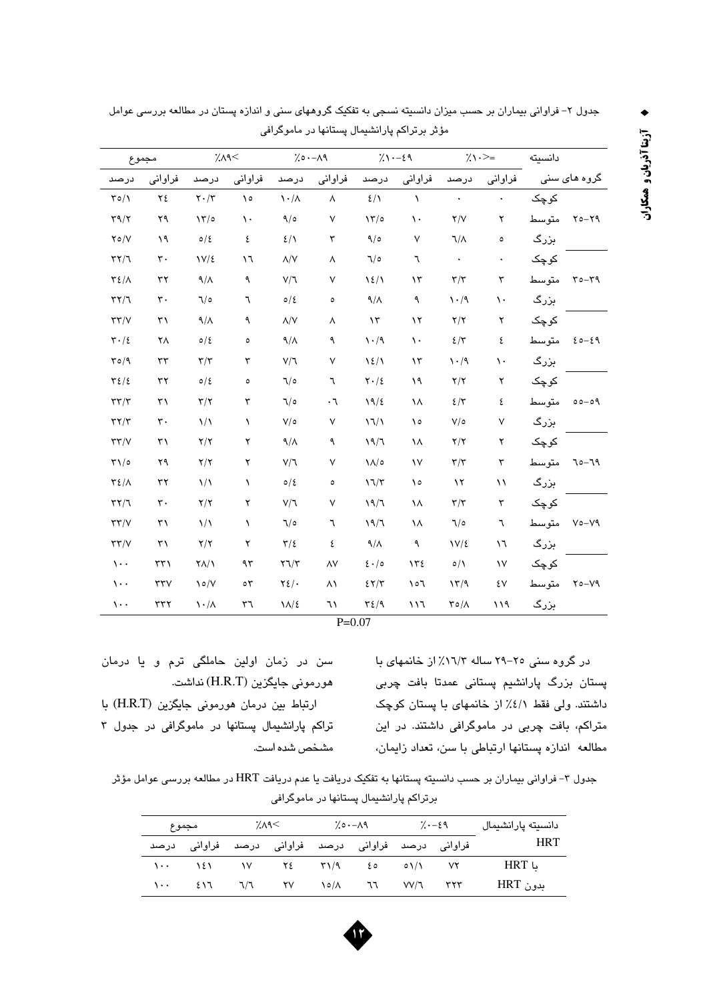♦آزيقا آذريان ' مىكا<sub>د</sub>ان<br>م

| دانسيته<br>گروه های سنی |       | $\lambda \rightarrow \lambda$ |                                 | $7.1 - 29$    |                                      | $7.0 - A9$            |                              | $\lambda$      |                                 | مجموع                |                                 |
|-------------------------|-------|-------------------------------|---------------------------------|---------------|--------------------------------------|-----------------------|------------------------------|----------------|---------------------------------|----------------------|---------------------------------|
|                         |       | فراواني                       | درصد                            | فراواني       | درصد                                 | فراواني               | درصد                         | فراواني        | درصد                            | فراواني              | درصد                            |
|                         | کوچک  |                               | $\ddot{\phantom{a}}$            | $\lambda$     | 2/1                                  | ٨                     | $\lambda \cdot / \lambda$    | $\lambda$      | $\mathbf{Y} \cdot / \mathbf{Y}$ | ۲٤                   | $\Gamma \circ / \Lambda$        |
| $Y_0 - Y_1$             | متوسط | ٢                             | Y/Y                             | $\mathcal{N}$ | $\frac{1}{\sqrt{2}}$                 | $\sf V$               | 9/0                          | $\backslash$ . | $\frac{1}{\pi}$                 | ۲۹                   | $\Upsilon \Upsilon / \Upsilon$  |
|                         | بزرگ  | ٥                             | $\lambda/\lambda$               | ٧             | 9/0                                  | ٣                     | 2/1                          | ٤              | $\circ / \xi$                   | ۱۹                   | $Y \circ /V$                    |
|                         | کوچک  | $\bullet$                     | $\bullet$                       | ٦             | 0/٦                                  | $\boldsymbol{\wedge}$ | $\Lambda/V$                  | ۱٦             | $1V/\xi$                        | $\mathbf{r}$ .       | $\Upsilon \Upsilon / \Upsilon$  |
| $20 - 79$               | متوسط | ٣                             | $\mathbf{r}/\mathbf{r}$         | ۱۳            | $\frac{2}{3}$                        | ٧                     | $V/\Upsilon$                 | ٩              | $9/\lambda$                     | ٣٢                   | $\Upsilon$ { / $\wedge$         |
|                         | بزرگ  | $\mathcal{N}$                 | $\mathcal{N} \cdot \mathcal{N}$ | ٩             | $\gamma/\gamma$                      | $\bullet$             | $\circ/\xi$                  | ٦              | 7/0                             | $\mathbf{r}$ .       | $\Upsilon \Upsilon / \Upsilon$  |
|                         | کرچک  | ۲                             | $\mathbf{Y}/\mathbf{Y}$         | $\lambda$     | $\gamma \tau$                        | ٨                     | $\Lambda/\mathrm{V}$         | ٩              | $\gamma/\gamma$                 | ٣١                   | $\tau\tau/\mathrm{V}$           |
| $20 - 29$               | متوسط | ٤                             | $\mathcal{E}/\Upsilon$          | $\mathcal{N}$ | $\mathcal{N} \cdot \mathcal{N}$      | ٩                     | $\gamma/\gamma$              | ٥              | $\circ / \epsilon$              | ٢٨                   | $\mathbf{r} \cdot / \mathbf{r}$ |
|                         | بزرگ  | $\mathcal{N}$                 | $\mathcal{N} \cdot \mathcal{N}$ | $\lambda$     | $\frac{1}{2}$                        | ٧                     | $V/\Upsilon$                 | ٣              | $\tau/\tau$                     | $\tau\tau$           | 40/9                            |
|                         | کرچک  | ۲                             | $\mathbf{Y}/\mathbf{Y}$         | ۱۹            | $\mathbf{Y} \cdot \mathbf{Z}$        | ٦                     | 7/0                          | $\bullet$      | 0/2                             | ٣٢                   | $\Upsilon$                      |
| $00 - 09$               | متوسط | ٤                             | $\mathcal{E}/\Upsilon$          | ۱۸            | 19/2                                 | $\cdot$ 1             | 7/0                          | ٣              | $\tau/\tau$                     | ٣١                   | $\tau\tau/\tau$                 |
|                         | بزرگ  | ٧                             | $V/\circ$                       | ١٥            | $\binom{1}{\ell}$                    | $\sf V$               | $V/\circ$                    | ١              | $\frac{1}{2}$                   | $\mathbf{\tau}\cdot$ | $\tau\tau/\tau$                 |
|                         | کوچک  | ٢                             | $\mathbf{Y}/\mathbf{Y}$         | ١٨            | 19/7                                 | ٩                     | $9/\lambda$                  | ٢              | $\mathbf{Y}/\mathbf{Y}$         | ٣١                   | $\tau\tau/\nu$                  |
| $70 - 79$               | متوسط | ٣                             | $\mathbf{r}/\mathbf{r}$         | $\mathcal{N}$ | $\Lambda/\circ$                      | ٧                     | $V/\Upsilon$                 | ۲              | $\mathsf{Y}/\mathsf{Y}$         | ۲۹                   | $\mathsf{r}_1/\circ$            |
|                         | بزرگ  | $\backslash$ $\backslash$     | $\lambda$                       | ۱٥            | $17/\tau$                            | $\bullet$             | $\circ/\xi$                  | $\lambda$      | $\frac{1}{2}$                   | ٣٢                   | $\Upsilon$ {/\                  |
|                         | کوچک  | ٣                             | $\mathbf{r}/\mathbf{r}$         | ۱۸            | 19/7                                 | ٧                     | $\mathsf{V}/\mathsf{V}$      | ۲              | $\mathbf{Y}/\mathbf{Y}$         | $\mathbf{\tau}\cdot$ | $\Gamma \backslash 7$           |
| $V$ 0– $V$ ۹            | متوسط | ٦                             | 7/0                             | ١٨            | 19/7                                 | ٦                     | 7/0                          | ١              | $\frac{1}{2}$                   | ٣١                   | $\tau\tau/\mathrm{V}$           |
|                         | بزرگ  | ۱٦                            | $V/\xi$                         | ٩             | $\gamma/\gamma$                      | ٤                     | $\tau/\epsilon$              | ۲              | $\mathbf{Y}/\mathbf{Y}$         | ٣١                   | $\tau\tau/\nu$                  |
|                         | کوچک  | ١٧                            | $\circ/\wedge$                  | 152           | $\epsilon \cdot \rho$                | $\wedge \vee$         | $\Upsilon \Upsilon/\Upsilon$ | ۹۳             | $Y/\lambda$                     | ۳۳۱                  | $\mathcal{N}$ .                 |
| $Y_0 - V_1$             | متوسط | ٤٧                            | 17/9                            | 7٥۱           | $\mathcal{E}\,\mathsf{Y}/\mathsf{Y}$ | ۸١                    | $\tau$ ٤/.                   | $\circ \tau$   | $\lambda \circ /V$              | $\tau\tau\gamma$     | $\cdots$                        |
|                         | بزرگ  | ۱۱۹                           | ۳٥/٨                            | ۱۱٦           | $\tau$ ٤/٩                           | ٦١                    | $1/\sqrt{2}$                 | ٣٦             | $\lambda \cdot / \lambda$       | ٣٣٢                  | $\cdots$                        |

جدول ۲– فراوانی بیماران بر حسب میزان دانسیته نسجی به تفکیک گروههای سنی و اندازه پستان در مطالعه بررسی عوامل

 $P=0.07$ 

در گروه سنی ۲۵-۲۹ ساله ۱۳/۳٪ از خانمهای با پستان بزرگ پارانشیم پستانی عمدتا بافت چربی داشتند. ولی فقط ٤/١٪ از خانمهای با پستان کوچک متراکم، بافت چربی در ماموگرافی داشتند. در این مطالعه اندازه پستانها ارتباطی با سن، تعداد زایمان،

سن در زمان اولین حاملگی ترم و یا درمان هورمونی جایگزین (H.R.T) نداشت. ارتباط بین درمان هورمونی جایگزین (H.R.T) با تراكم پارانشيمال پستانها در ماموگرافى در جدول ٣ مشخص شده است.

جدول ۳- فراوانی بیماران بر حسب دانسیته پستانها به تفکیک دریافت یا عدم دریافت HRT در مطالعه بررسی عوامل مؤثر برتراکم پارانشیمال پستانها در ماموگرافی

| دانسيته پارانشيمال<br><b>HRT</b> | $\lambda - \epsilon$ ۹ |  | ۸۹−۰۰٪(                                                                          |  | >٨٩٪                                                |     | مجموع                     |   |
|----------------------------------|------------------------|--|----------------------------------------------------------------------------------|--|-----------------------------------------------------|-----|---------------------------|---|
|                                  |                        |  |                                                                                  |  | فراوانی درصد فراوانی درصد فراوانی درصد فراوانی درصد |     |                           |   |
| HRT L                            |                        |  |                                                                                  |  | 7E 71/9 EO 01/1 VY                                  |     |                           |   |
| بدون HRT                         | YYY                    |  | $\mathsf{V} \mathsf{V} \mathsf{V} \mathsf{A}$ $\mathsf{V} \mathsf{V} \mathsf{A}$ |  | YV                                                  | 7/7 | $\epsilon \setminus \tau$ | 1 |

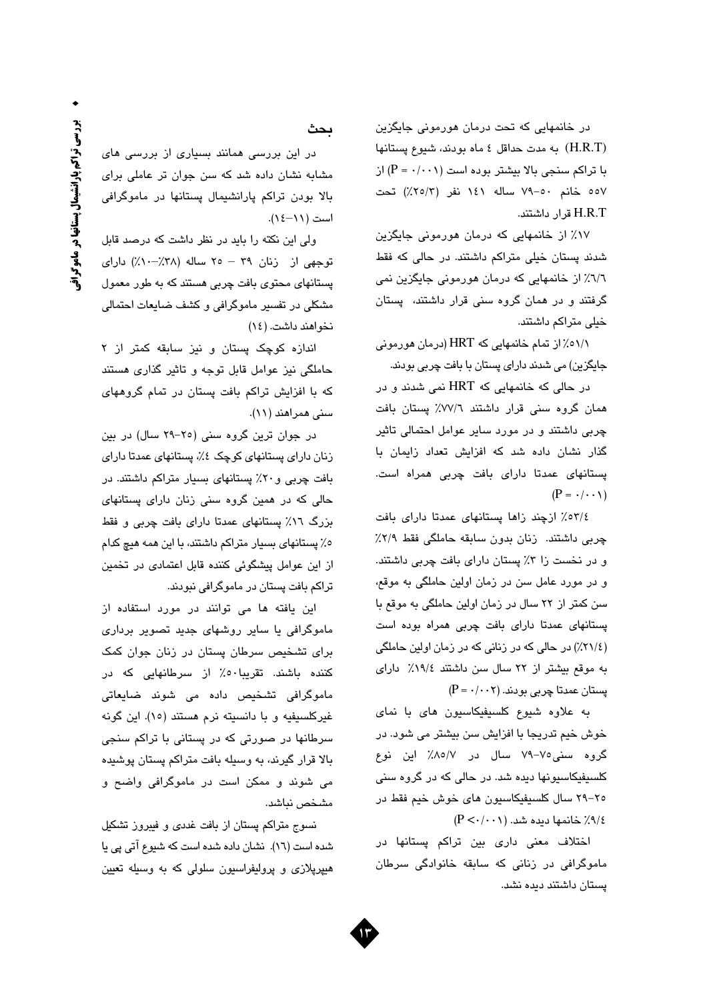در خانمهایی که تحت درمان هورمونی جایگزین (H.R.T) به مدت حداقل ٤ ماه بودند، شيوع پستانها با تراکم سنجی بالا بیشتر بوده است (۰۰۰۱ = P) از ٥٥٧ خانم ٥٠-٧٩ ساله ١٤١ نفر (٢/٢٥/٢) تحت H.R.T قرار داشتند.

١٧٪ از خانمهایی که درمان هورمونی جایگزین شدند پستان خیلی متراکم داشتند. در حالی که فقط ٦/٦٪ از خانمهایی که درمان هورمونی جایگزین نمی گرفتند و در همان گروه سنی قرار داشتند، پستان خیلی متراکم داشتند.

٥١/١ ٪ از تمام خانمهایی که HRT (درمان هورمونی جايگزين) مي شدند داراي پستان با بافت چربي بودند.

در حالی که خانمهایی که HRT نمی شدند و در همان گروه سنی قرار داشتند ۷۷/۱٪ پستان بافت چربی داشتند و در مورد سایر عوامل احتمالی تاثیر گذار نشان داده شد که افزایش تعداد زایمان با پستانهای عمدتا دارای بافت چربی همراه است.  $(P = \cdot / \cdot \cdot \setminus)$ 

٥٣/٤٪ ازچند زاها پستانهای عمدتا دارای بافت چربی داشتند. زنان بدون سابقه حاملگی فقط ۲/۹٪ و در نخست زا ۳٪ پستان دارای بافت چربی داشتند. و در مورد عامل سن در زمان اولین حاملگی به موقع، سن کمتر از ۲۲ سال در زمان اولین حاملگی به موقع با پستانهای عمدتا دارای بافت چربی همراه بوده است (٢١/٤٪) در حالي كه در زناني كه در زمان اولين حاملگي به موقع بیشتر از ۲۲ سال سن داشتند ۱۹/٤٪ دارای  $(P = \cdot / \cdot \cdot \tau)$  پستان عمدتا چربی بودند.

به علاوه شیوع کلسیفیکاسیون های با نمای خوش خيم تدريجا با افزايش سن بيشتر مي شود. در گروه سنی۷۵–۷۹ سال در ۸۵/۷٪ این نوع کلسیفیکاسیونها دیده شد. در حالی که در گروه سنی ٢٥-٢٩ سال كلسيفيكاسيون هاى خوش خيم فقط در ٩/٤٪ خانمها ديده شد. (P <٠/٠٠١)

اختلاف معنی داری بین تراکم پستانها در ماموگرافی در زنانی که سابقه خانوادگی سرطان پستان داشتند دیده نشد.

### ىحث

در این بررسی همانند بسیاری از بررسی های مشابه نشان داده شد که سن جوان تر عاملی برای بالا بودن تراکم پارانشیمال پستانها در ماموگرافی است (١١–١٤).

ولی این نکته را باید در نظر داشت که درصد قابل توجهی از زنان ۳۹ – ۲۰ ساله (۳۸٪–۱۰٪) دارای پستانهای محتوی بافت چربی هستند که به طور معمول مشکلی در تفسیر ماموگرافی و کشف ضایعات احتمالی نخواهند داشت. (١٤)

اندازه کوچک پستان و نیز سابقه کمتر از ۲ حاملگی نیز عوامل قابل توجه و تاثیر گذاری هستند که با افزایش تراکم بافت پستان در تمام گروههای سنی همراهند (۱۱).

در جوان ترين گروه سني (٢٥–٢٩ سال) در بين زنان دارای پستانهای کوچک ٤٪، پستانهای عمدتا دارای بافت چربی و ۲۰٪ پستانهای بسیار متراکم داشتند. در حالی که در همین گروه سنی زنان دارای پستانهای بزرگ ١٦٪ پستانهای عمدتا دارای بافت چربی و فقط ه٪ پستانهای بسیار متراکم داشتند، با این همه هیچ کدام از این عوامل پیشگوئی کننده قابل اعتمادی در تخمین تراکم بافت پستان در ماموگرافی نبودند.

این یافته ها می توانند در مورد استفاده از ماموگرافی یا سایر روشهای جدید تصویر برداری برای تشخیص سرطان پستان در زنان جوان کمک کننده باشند. تقریبا ۰۵٪ از سرطانهایی که در ماموگرافی تشخیص داده می شوند ضایعاتی غیرکلسیفیه و با دانسیته نرم هستند (١٥). این گونه سرطانها در صورتی که در پستانی با تراکم سنجی بالا قرار گیرند، به وسیله بافت متراکم پستان پوشیده می شوند و ممکن است در ماموگرافی واضح و مشخص نباشد.

نسوج متراکم پستان از بافت غددی و فیبروز تشکیل شده است (١٦). نشان داده شده است که شپوع آتی پی یا هیپرپلازی و پرولیفراسیون سلولی که به وسیله تعیین

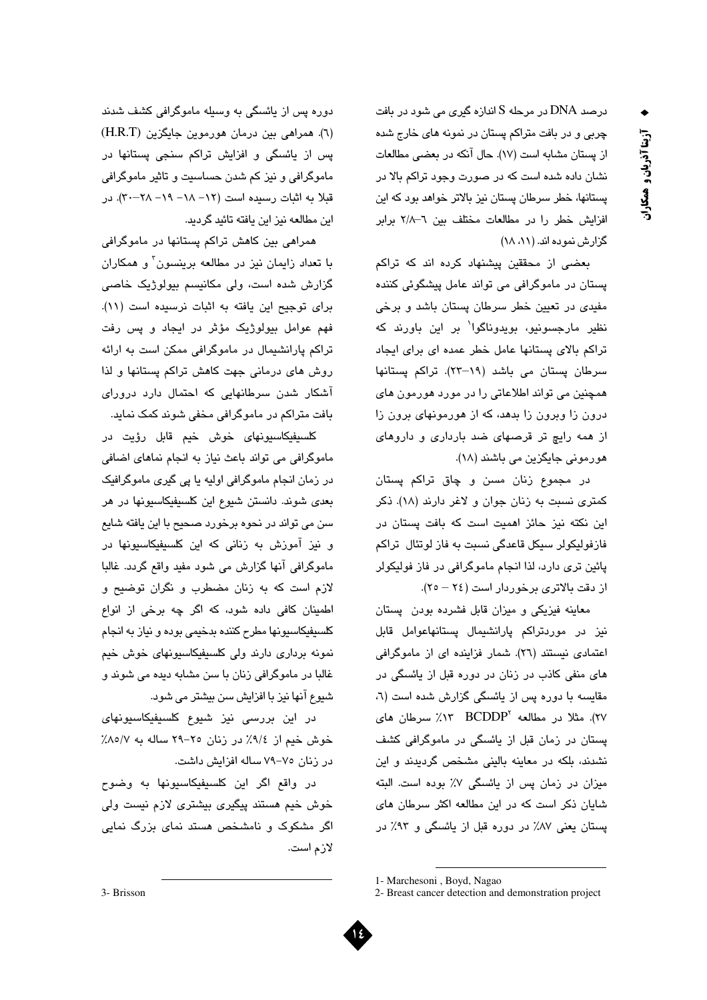درصد DNA در مرحله S اندازه گیری می شود در بافت چربی و در بافت متراکم پستان در نمونه های خارج شده از پستان مشابه است (١٧). حال آنکه در بعضی مطالعات نشان داده شده است که در صورت وجود تراکم بالا در پستانها، خطر سرطان پستان نیز بالاتر خواهد بود که این افزایش خطر را در مطالعات مختلف بین ٦-٢/٨ برابر گزارش نموده اند. (۸۱، ۱۸)

بعضی از محققین پیشنهاد کرده اند که تراکم پستان در ماموگرافی می تواند عامل پیشگوئی کننده مفیدی در تعیین خطر سرطان پستان باشد و برخی نظیر مارجسونیو، بویدوناگوا<sup>\</sup> بر این باورند که تراکم بالای پستانها عامل خطر عمده ای برای ایجاد سرطان يستان مي باشد (١٩–٢٣). تراكم يستانها همچنین می تواند اطلاعاتی را در مورد هورمون های درون زا وبرون زا بدهد، که از هورمونهای برون زا از همه رایچ تر قرصهای ضد بارداری و داروهای هورموني جايگزين مي باشند (١٨).

در مجموع زنان مسن و چاق تراکم پستان كمترى نسبت به زنان جوان و لاغر دارند (١٨). ذكر این نکته نیز حائز اهمیت است که بافت پستان در فازفولیکولر سیکل قاعدگی نسبت به فاز لوتئال تراکم پائین تری دارد، لذا انجام ماموگرافی در فاز فولیکولر از دقت بالاتری برخوردار است (٢٤ – ٢٥).

معاینه فیزیکی و میزان قابل فشرده بودن پستان نیز در موردتراکم پارانشیمال پستانهاعوامل قابل اعتمادی نیستند (٢٦). شمار فزاینده ای از ماموگرافی های منفی کاذب در زنان در دوره قبل از پائسگی در مقایسه با دوره پس از پائسگی گزارش شده است (٦، ۲۷). مثلا در مطالعه BCDDP<sup>۲</sup> مثلا در مطالعه ۱۳ BCDDP پستان در زمان قبل از پائسگی در ماموگرافی کشف نشدند، بلکه در معاینه بالینی مشخص گردیدند و این میزان در زمان پس از پائسگی ۷٪ بوده است. البته شایان ذکر است که در این مطالعه اکثر سرطان های یستان بعنی ۸۷٪ در دوره قبل از پائسگی و ۹۳٪ در

دوره پس از پائسگی به وسیله ماموگرافی کشف شدند (٦). همراهي بين درمان هورموين جايگزين (H.R.T) یس از پائسگی و افزایش تراکم سنجی پستانها در ماموگرافی و نیز کم شدن حساسیت و تاثیر ماموگرافی قبلا به اثبات رسیده است (١٢- ١٨- ٢٨-٣٠). در این مطالعه نیز این بافته تائید گردید.

همراهی بین کاهش تراکم پستانها در ماموگرافی با تعداد زایمان نیز در مطالعه برینسون ٔ و همکاران گزارش شده است، ولی مکانیسم بیولوژیک خاصی برای توجیح این یافته به اثبات نرسیده است (١١). فهم عوامل بیولوژیک مؤثر در ایجاد و پس رفت تراکم پارانشیمال در ماموگرافی ممکن است به ارائه روش های درمانی جهت کاهش تراکم پستانها و لذا آشکار شدن سرطانهایی که احتمال دارد درورای بافت متراکم در ماموگرافی مخفی شوند کمک نماید.

كلسىيفيكاسىيونها*ى* خوش خيم قابل رؤيت در ماموگرافی می تواند باعث نیاز به انجام نماهای اضافی در زمان انجام ماموگرافی اولیه یا پی گیری ماموگرافیک بعدی شوند. دانستن شیوع این کلسیفیکاسیونها در هر سن می تواند در نحوه برخورد صحیح با این یافته شایع و نیز آموزش به زنانی که این کلسیفیکاسیونها در ماموگرافی آنها گزارش می شود مفید واقع گردد. غالبا لازم است كه به زنان مضطرب و نگران توضيح و اطمینان کافی داده شود، که اگر چه برخی از انواع كلسيفيكاسيونها مطرح كننده بدخيمي بوده و نياز به انجام نمونه برداری دارند ولی کلسیفیکاسیونهای خوش خیم غالبا در ماموگرافی زنان با سن مشابه دیده می شوند و شيوع آنها نيز با افزايش سن بيشتر مي شود.

در این بررسی نیز شیوع کلسیفیکاسیونهای خوش خيم از ٩/٤٪ در زنان ٢٥-٢٩ ساله به ٨٥/٧٪ در زنان ۷۵–۷۹ ساله افزایش داشت.

در واقع اگر این کلسیفیکاسیونها به وضوح خوش خیم هستند پیگیری بیشتری لازم نیست ولی اگر مشکوک و نامشخص هستد نمای بزرگ نمایی لازم است.

3- Brisson



<sup>1-</sup> Marchesoni, Boyd, Nagao

<sup>2-</sup> Breast cancer detection and demonstration project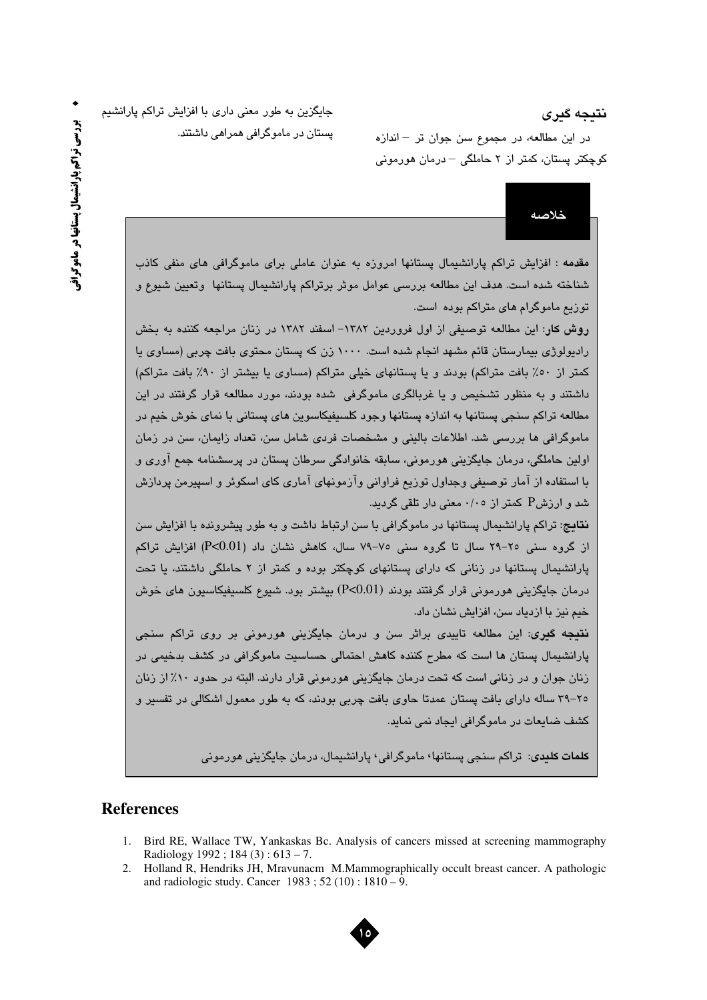# بررسي تراكم يارانشيمال يستانها در ماموكراف

جایگزین به طور معنی داری با افزایش تراکم پارانشیم

یستان در ماموگرافی همراهی داشتند.

### نتىجە گىرى

خلاصه

در این مطالعه، در مجموع سن جوان تر – اندازه کوچکٹر پستان، کمتر از ۲ حاملگی – درمان هورمونی

مقدمه : افزایش تراکم پارانشیمال پستانها امروزه به عنوان عاملی برای ماموگرافی های منفی کاذب شناخته شده است. هدف این مطالعه بررسی عوامل موثر برتراکم پارانشیمال پستانها ۖ وتعیین شیوع و توزیع ماموگرام های متراکم بوده است. روش کار: این مطالعه توصیفی از اول فروردین ۱۳۸۲– اسفند ۱۳۸۲ در زنان مراجعه کننده به بخش رادیولوژی بیمارستان قائم مشهد انجام شده است. ۱۰۰۰ زن که پستان محتوی بافت چربی (مساوی یا کمتر از ٥٠٪ بافت متراکم) بودند و یا پستانهای خیلی متراکم (مساوی یا بیشتر از ٩٠٪ بافت متراکم) داشتند و به منظور تشخیص و یا غربالگری ماموگرفی شده بودند، مورد مطالعه قرار گرفتند در این مطالعه تراکم سنجی پستانها به اندازه پستانها وجود کلسیفیکاسوین های پستانی با نمای خوش خیم در ماموگرافی ها بررسی شد. اطلاعات بالینی و مشخصات فردی شامل سن، تعداد زایمان، سن در زمان اولین حاملگی، درمان جایگزینی هورمونی، سابقه خانوادگی سرطان پستان در پرسشنامه جمع آوری و با استفاده از آمار توصیفی وجداول توزیع فراوانی وآزمونهای آماری کای اسکوئر و اسپیرمن پردازش شد و ارزشP کمتر از ۰/۰۰ معنی دار تلقی گردند. ن**تایج**: تراکم پارانشیمال پستانها در ماموگرافی با سن ارتباط داشت و به طور پیشرونده با افزایش سن از گروه سنی ۲۰-۲۹ سال تا گروه سنی ۷۰-۷۹ سال، کاهش نشان داد (P<0.01) افزایش تراکم پارانشیمال پستانها در زنانی که دارای پستانهای کوچکتر بوده و کمتر از ۲ حاملگی داشتند، یا تحت درمان جايگزيني هورموني قرار گرفتند بودند (P<0.01) بيشتر بود. شيوع كلسيفيكاسيون هاي خوش خیم نیز با ازدیاد سن، افزایش نشان داد. **نتیجه گیری**: این مطالعه تاییدی براثر سن و درمان جایگزینی هورمونی بر روی تراکم سنجی پارانشیمال پستان ها است که مطرح کننده کاهش احتمالی حساسیت ماموگرافی در کشف بدخیمی در زنان جوان و در زنانی است که تحت درمان جایگزینی هورمونی قرار دارند. البته در حدود ۱۰٪ از زنان ۲۵-۳۹ ساله دارای بافت پستان عمدتا حاوی بافت چربی بودند، که به طور معمول اشکالی در تفسیر و کشف ضایعات در ماموگرافی ایجاد نمی نماید. **کلمات کلند**ی: تراکم سنجی پستانها<sup>،</sup> ماموگرافی<sup>،</sup> پارانشیمال، درمان جایگزینی هورمونی

## **References**

- 1. Bird RE, Wallace TW, Yankaskas Bc. Analysis of cancers missed at screening mammography Radiology 1992;  $184(3): 613 - 7$ .
- 2. Holland R, Hendriks JH, Mravunacm M.Mammographically occult breast cancer. A pathologic and radiologic study. Cancer  $1983$ ;  $52(10)$ :  $1810 - 9$ .